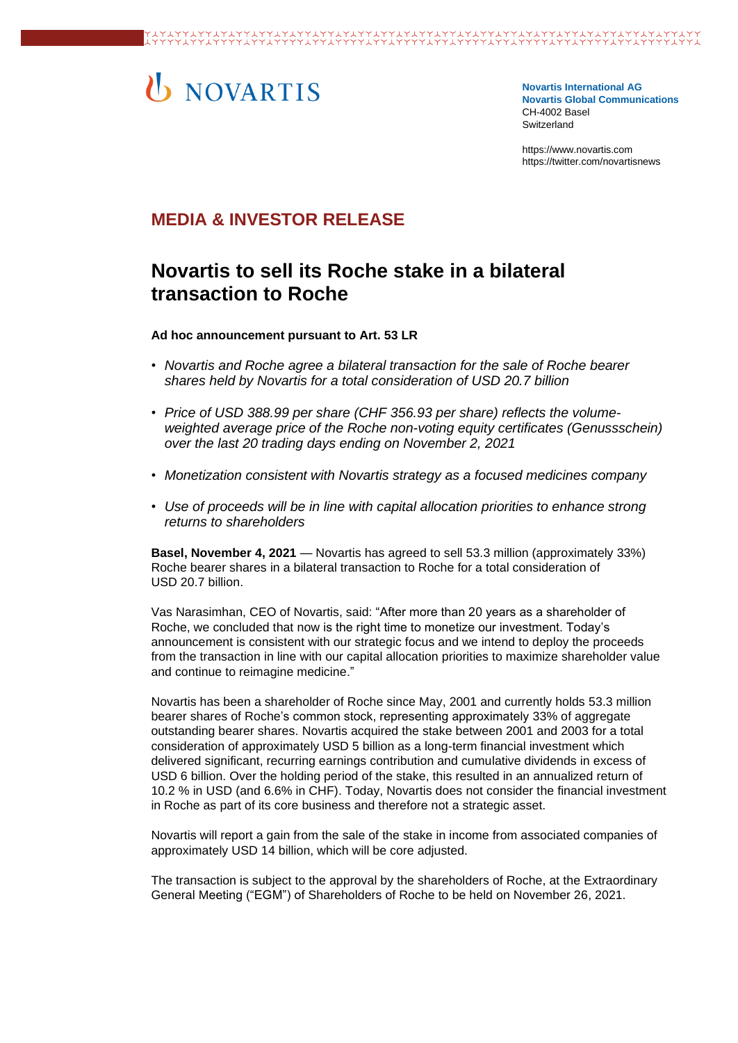# U NOVARTIS

**Novartis International AG Novartis Global Communications**  CH-4002 Basel **Switzerland** 

[https://www.novartis.com](https://www.novartis.com/) https://twitter.com/novartisnews

## **MEDIA & INVESTOR RELEASE**

## **Novartis to sell its Roche stake in a bilateral transaction to Roche**

### **Ad hoc announcement pursuant to Art. 53 LR**

- *Novartis and Roche agree a bilateral transaction for the sale of Roche bearer shares held by Novartis for a total consideration of USD 20.7 billion*
- *Price of USD 388.99 per share (CHF 356.93 per share) reflects the volumeweighted average price of the Roche non-voting equity certificates (Genussschein) over the last 20 trading days ending on November 2, 2021*
- *Monetization consistent with Novartis strategy as a focused medicines company*
- *Use of proceeds will be in line with capital allocation priorities to enhance strong returns to shareholders*

**Basel, November 4, 2021** — Novartis has agreed to sell 53.3 million (approximately 33%) Roche bearer shares in a bilateral transaction to Roche for a total consideration of USD 20.7 billion.

Vas Narasimhan, CEO of Novartis, said: "After more than 20 years as a shareholder of Roche, we concluded that now is the right time to monetize our investment. Today's announcement is consistent with our strategic focus and we intend to deploy the proceeds from the transaction in line with our capital allocation priorities to maximize shareholder value and continue to reimagine medicine."

Novartis has been a shareholder of Roche since May, 2001 and currently holds 53.3 million bearer shares of Roche's common stock, representing approximately 33% of aggregate outstanding bearer shares. Novartis acquired the stake between 2001 and 2003 for a total consideration of approximately USD 5 billion as a long-term financial investment which delivered significant, recurring earnings contribution and cumulative dividends in excess of USD 6 billion. Over the holding period of the stake, this resulted in an annualized return of 10.2 % in USD (and 6.6% in CHF). Today, Novartis does not consider the financial investment in Roche as part of its core business and therefore not a strategic asset.

Novartis will report a gain from the sale of the stake in income from associated companies of approximately USD 14 billion, which will be core adjusted.

The transaction is subject to the approval by the shareholders of Roche, at the Extraordinary General Meeting ("EGM") of Shareholders of Roche to be held on November 26, 2021.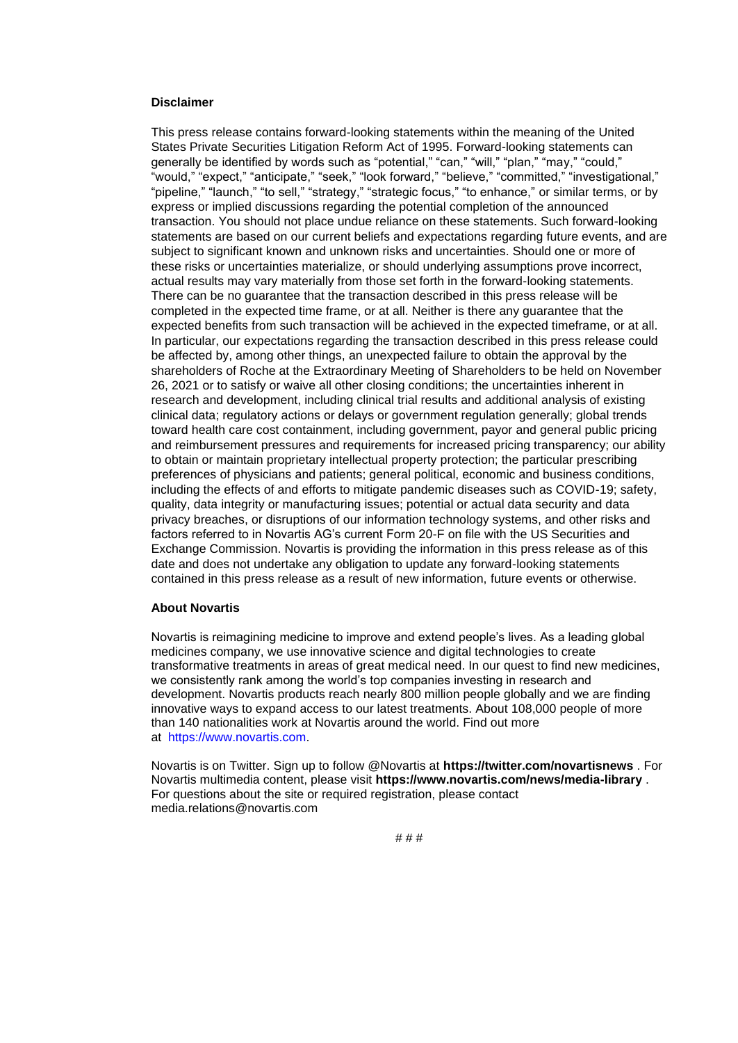#### **Disclaimer**

This press release contains forward-looking statements within the meaning of the United States Private Securities Litigation Reform Act of 1995. Forward-looking statements can generally be identified by words such as "potential," "can," "will," "plan," "may," "could," "would," "expect," "anticipate," "seek," "look forward," "believe," "committed," "investigational," "pipeline," "launch," "to sell," "strategy," "strategic focus," "to enhance," or similar terms, or by express or implied discussions regarding the potential completion of the announced transaction. You should not place undue reliance on these statements. Such forward-looking statements are based on our current beliefs and expectations regarding future events, and are subject to significant known and unknown risks and uncertainties. Should one or more of these risks or uncertainties materialize, or should underlying assumptions prove incorrect, actual results may vary materially from those set forth in the forward-looking statements. There can be no guarantee that the transaction described in this press release will be completed in the expected time frame, or at all. Neither is there any guarantee that the expected benefits from such transaction will be achieved in the expected timeframe, or at all. In particular, our expectations regarding the transaction described in this press release could be affected by, among other things, an unexpected failure to obtain the approval by the shareholders of Roche at the Extraordinary Meeting of Shareholders to be held on November 26, 2021 or to satisfy or waive all other closing conditions; the uncertainties inherent in research and development, including clinical trial results and additional analysis of existing clinical data; regulatory actions or delays or government regulation generally; global trends toward health care cost containment, including government, payor and general public pricing and reimbursement pressures and requirements for increased pricing transparency; our ability to obtain or maintain proprietary intellectual property protection; the particular prescribing preferences of physicians and patients; general political, economic and business conditions, including the effects of and efforts to mitigate pandemic diseases such as COVID-19; safety, quality, data integrity or manufacturing issues; potential or actual data security and data privacy breaches, or disruptions of our information technology systems, and other risks and factors referred to in Novartis AG's current Form 20-F on file with the US Securities and Exchange Commission. Novartis is providing the information in this press release as of this date and does not undertake any obligation to update any forward-looking statements contained in this press release as a result of new information, future events or otherwise.

#### **About Novartis**

Novartis is reimagining medicine to improve and extend people's lives. As a leading global medicines company, we use innovative science and digital technologies to create transformative treatments in areas of great medical need. In our quest to find new medicines, we consistently rank among the world's top companies investing in research and development. Novartis products reach nearly 800 million people globally and we are finding innovative ways to expand access to our latest treatments. About 108,000 people of more than 140 nationalities work at Novartis around the world. Find out more at https://www.novartis.com.

Novartis is on Twitter. Sign up to follow @Novartis at **<https://twitter.com/novartisnews>** . For Novartis multimedia content, please visit **https:/[/www.novartis.com/news/media-library](http://www.novartis.com/news/media-library)** . For questions about the site or required registration, please contact [media.relations@novartis.com](mailto:media.relations@novartis.com)

# # #